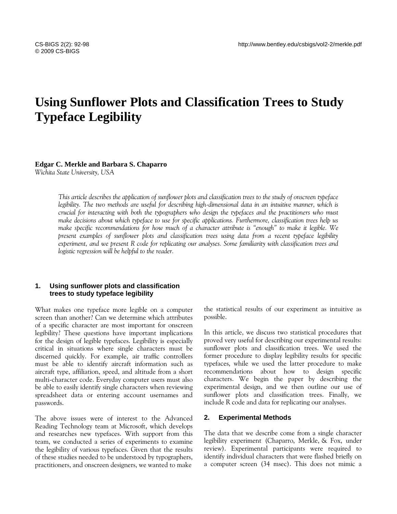# **Using Sunflower Plots and Classification Trees to Study Typeface Legibility**

**Edgar C. Merkle and Barbara S. Chaparro**

*Wichita State University, USA*

*This article describes the application of sunflower plots and classification trees to the study of onscreen typeface legibility. The two methods are useful for describing high-dimensional data in an intuitive manner, which is crucial for interacting with both the typographers who design the typefaces and the practitioners who must make decisions about which typeface to use for specific applications. Furthermore, classification trees help us make specific recommendations for how much of a character attribute is "enough" to make it legible. We present examples of sunflower plots and classification trees using data from a recent typeface legibility experiment, and we present R code for replicating our analyses. Some familiarity with classification trees and logistic regression will be helpful to the reader.*

# **1. Using sunflower plots and classification trees to study typeface legibility**

What makes one typeface more legible on a computer screen than another? Can we determine which attributes of a specific character are most important for onscreen legibility? These questions have important implications for the design of legible typefaces. Legibility is especially critical in situations where single characters must be discerned quickly. For example, air traffic controllers must be able to identify aircraft information such as aircraft type, affiliation, speed, and altitude from a short multi-character code. Everyday computer users must also be able to easily identify single characters when reviewing spreadsheet data or entering account usernames and passwords.

The above issues were of interest to the Advanced Reading Technology team at Microsoft, which develops and researches new typefaces. With support from this team, we conducted a series of experiments to examine the legibility of various typefaces. Given that the results of these studies needed to be understood by typographers, practitioners, and onscreen designers, we wanted to make the statistical results of our experiment as intuitive as possible.

In this article, we discuss two statistical procedures that proved very useful for describing our experimental results: sunflower plots and classification trees. We used the former procedure to display legibility results for specific typefaces, while we used the latter procedure to make recommendations about how to design specific characters. We begin the paper by describing the experimental design, and we then outline our use of sunflower plots and classification trees. Finally, we include R code and data for replicating our analyses.

# **2. Experimental Methods**

The data that we describe come from a single character legibility experiment (Chaparro, Merkle, & Fox, under review). Experimental participants were required to identify individual characters that were flashed briefly on a computer screen (34 msec). This does not mimic a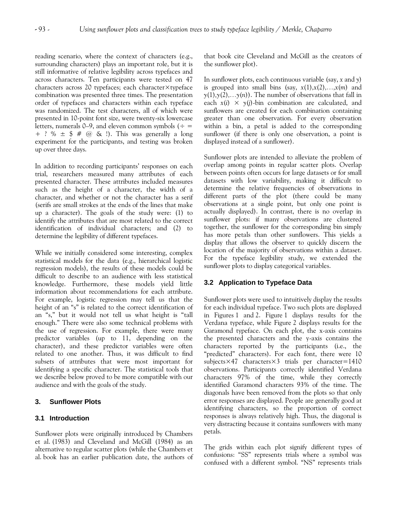reading scenario, where the context of characters (e.g., surrounding characters) plays an important role, but it is still informative of relative legibility across typefaces and across characters. Ten participants were tested on 47 characters across 20 typefaces; each character×typeface combination was presented three times. The presentation order of typefaces and characters within each typeface was randomized. The test characters, all of which were presented in 10-point font size, were twenty-six lowercase letters, numerals 0–9, and eleven common symbols ( $\div$  = + ? %  $\pm$  \$ # @ & !). This was generally a long experiment for the participants, and testing was broken up over three days.

In addition to recording participants' responses on each trial, researchers measured many attributes of each presented character. These attributes included measures such as the height of a character, the width of a character, and whether or not the character has a serif (serifs are small strokes at the ends of the lines that make up a character). The goals of the study were: (1) to identify the attributes that are most related to the correct identification of individual characters; and (2) to determine the legibility of different typefaces.

While we initially considered some interesting, complex statistical models for the data (e.g., hierarchical logistic regression models), the results of these models could be difficult to describe to an audience with less statistical knowledge. Furthermore, these models yield little information about recommendations for each attribute. For example, logistic regression may tell us that the height of an "s" is related to the correct identification of an "s," but it would not tell us what height is "tall enough." There were also some technical problems with the use of regression. For example, there were many predictor variables (up to 11, depending on the character), and these predictor variables were often related to one another. Thus, it was difficult to find subsets of attributes that were most important for identifying a specific character. The statistical tools that we describe below proved to be more compatible with our audience and with the goals of the study.

# **3. Sunflower Plots**

# **3.1 Introduction**

Sunflower plots were originally introduced by Chambers et al. (1983) and Cleveland and McGill (1984) as an alternative to regular scatter plots (while the Chambers et al. book has an earlier publication date, the authors of that book cite Cleveland and McGill as the creators of the sunflower plot).

In sunflower plots, each continuous variable (say, *x* and *y*) is grouped into small bins (say,  $x(1),x(2),...,x(m)$  and  $y(1),y(2),...y(n)$ . The number of observations that fall in each  $x(i) \times y(j)$ -bin combination are calculated, and sunflowers are created for each combination containing greater than one observation. For every observation within a bin, a petal is added to the corresponding sunflower (if there is only one observation, a point is displayed instead of a sunflower).

Sunflower plots are intended to alleviate the problem of overlap among points in regular scatter plots. Overlap between points often occurs for large datasets or for small datasets with low variability, making it difficult to determine the relative frequencies of observations in different parts of the plot (there could be many observations at a single point, but only one point is actually displayed). In contrast, there is no overlap in sunflower plots: if many observations are clustered together, the sunflower for the corresponding bin simply has more petals than other sunflowers. This yields a display that allows the observer to quickly discern the location of the majority of observations within a dataset. For the typeface legibility study, we extended the sunflower plots to display categorical variables.

# **3.2 Application to Typeface Data**

Sunflower plots were used to intuitively display the results for each individual typeface. Two such plots are displayed in Figures 1 and 2. Figure 1 displays results for the Verdana typeface, while Figure 2 displays results for the Garamond typeface. On each plot, the x-axis contains the presented characters and the y-axis contains the characters reported by the participants (i.e., the "predicted" characters). For each font, there were 10 subjects $\times$ 47 characters $\times$ 3 trials per character=1410 observations. Participants correctly identified Verdana characters 97% of the time, while they correctly identified Garamond characters 93% of the time. The diagonals have been removed from the plots so that only error responses are displayed. People are generally good at identifying characters, so the proportion of correct responses is always relatively high. Thus, the diagonal is very distracting because it contains sunflowers with many petals.

The grids within each plot signify different types of confusions: "SS" represents trials where a symbol was confused with a different symbol. "NS" represents trials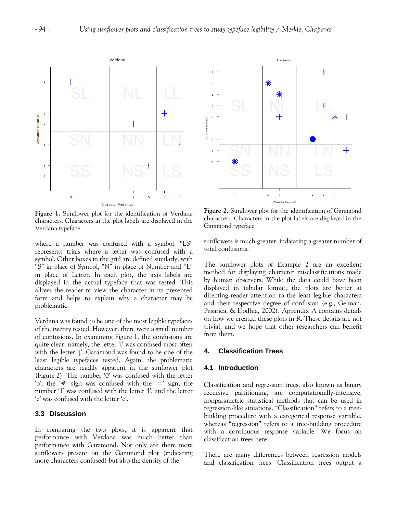

**Figure 1***.* Sunflower plot for the identification of Verdana characters. Characters in the plot labels are displayed in the Verdana typeface

where a number was confused with a symbol. "LS" represents trials where a letter was confused with a symbol. Other boxes in the grid are defined similarly, with "S" in place of Symbol, "N" in place of Number and "L" in place of Letter. In each plot, the axis labels are displayed in the actual typeface that was tested. This allows the reader to view the character in its presented form and helps to explain why a character may be problematic.

Verdana was found to be one of the most legible typefaces of the twenty tested. However, there were a small number of confusions. In examining Figure 1, the confusions are quite clear; namely, the letter 'i' was confused most often with the letter 'j'. Garamond was found to be one of the least legible typefaces tested. Again, the problematic characters are readily apparent in the sunflower plot (Figure 2). The number "0" was confused with the letter "o", the " $#$ " sign was confused with the " $=$ " sign, the number '1' was confused with the letter 'l', and the letter 'e' was confused with the letter 'c'.

# **3.3 Discussion**

In comparing the two plots, it is apparent that performance with Verdana was much better than performance with Garamond. Not only are there more sunflowers present on the Garamond plot (indicating more characters confused) but also the density of the



**Figure 2.** Sunflower plot for the identification of Garamond characters. Characters in the plot labels are displayed in the Garamond typeface

sunflowers is much greater, indicating a greater number of total confusions.

The sunflower plots of Example 2 are an excellent method for displaying character misclassifications made by human observers. While the data could have been displayed in tabular format, the plots are better at directing reader attention to the least legible characters and their respective degree of confusion (e.g., Gelman, Pasarica, & Dodhia, 2002). Appendix A contains details on how we created these plots in R. These details are not trivial, and we hope that other researchers can benefit from them.

# **4. Classification Trees**

# **4.1 Introduction**

Classification and regression trees, also known as binary recursive partitioning, are computationally-intensive, nonparametric statistical methods that can be used in regression-like situations. "Classification" refers to a treebuilding procedure with a categorical response variable, whereas "regression" refers to a tree-building procedure with a continuous response variable. We focus on classification trees here.

There are many differences between regression models and classification trees. Classification trees output a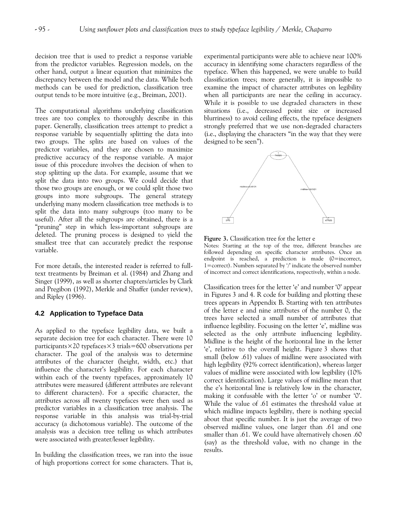decision tree that is used to predict a response variable from the predictor variables. Regression models, on the other hand, output a linear equation that minimizes the discrepancy between the model and the data. While both methods can be used for prediction, classification tree output tends to be more intuitive (e.g., Breiman, 2001).

The computational algorithms underlying classification trees are too complex to thoroughly describe in this paper. Generally, classification trees attempt to predict a response variable by sequentially splitting the data into two groups. The splits are based on values of the predictor variables, and they are chosen to maximize predictive accuracy of the response variable. A major issue of this procedure involves the decision of when to stop splitting up the data. For example, assume that we split the data into two groups. We could decide that those two groups are enough, or we could split those two groups into more subgroups. The general strategy underlying many modern classification tree methods is to split the data into many subgroups (too many to be useful). After all the subgroups are obtained, there is a "pruning" step in which less-important subgroups are deleted. The pruning process is designed to yield the smallest tree that can accurately predict the response variable.

For more details, the interested reader is referred to fulltext treatments by Breiman et al. (1984) and Zhang and Singer (1999), as well as shorter chapters/articles by Clark and Pregibon (1992), Merkle and Shaffer (under review), and Ripley (1996).

# **4.2 Application to Typeface Data**

As applied to the typeface legibility data, we built a separate decision tree for each character. There were 10 participants $\times$ 20 typefaces $\times$ 3 trials=600 observations per character. The goal of the analysis was to determine attributes of the character (height, width, etc.) that influence the character's legibility. For each character within each of the twenty typefaces, approximately 10 attributes were measured (different attributes are relevant to different characters). For a specific character, the attributes across all twenty typefaces were then used as predictor variables in a classification tree analysis. The response variable in this analysis was trial-by-trial accuracy (a dichotomous variable). The outcome of the analysis was a decision tree telling us which attributes were associated with greater/lesser legibility.

In building the classification trees, we ran into the issue of high proportions correct for some characters. That is, experimental participants were able to achieve near 100% accuracy in identifying some characters regardless of the typeface. When this happened, we were unable to build classification trees; more generally, it is impossible to examine the impact of character attributes on legibility when all participants are near the ceiling in accuracy. While it is possible to use degraded characters in these situations (i.e., decreased point size or increased blurriness) to avoid ceiling effects, the typeface designers strongly preferred that we use non-degraded characters (i.e., displaying the characters "in the way that they were designed to be seen").



**Figure 3.** Classification tree for the letter e

Notes: Starting at the top of the tree, different branches are followed depending on specific character attributes. Once an endpoint is reached, a prediction is made (0=incorrect, 1=correct). Numbers separated by  $\gamma$  indicate the observed number of incorrect and correct identifications, respectively, within a node.

Classification trees for the letter "e" and number "0" appear in Figures 3 and 4. R code for building and plotting these trees appears in Appendix B. Starting with ten attributes of the letter e and nine attributes of the number 0, the trees have selected a small number of attributes that influence legibility. Focusing on the letter 'e', midline was selected as the only attribute influencing legibility. Midline is the height of the horizontal line in the letter 'e', relative to the overall height. Figure 3 shows that small (below .61) values of midline were associated with high legibility (92% correct identification), whereas larger values of midline were associated with low legibility (10% correct identification). Large values of midline mean that the e"s horizontal line is relatively low in the character, making it confusable with the letter 'o' or number '0'. While the value of .61 estimates the threshold value at which midline impacts legibility, there is nothing special about that specific number. It is just the average of two observed midline values, one larger than .61 and one smaller than .61. We could have alternatively chosen .60 (say) as the threshold value, with no change in the results.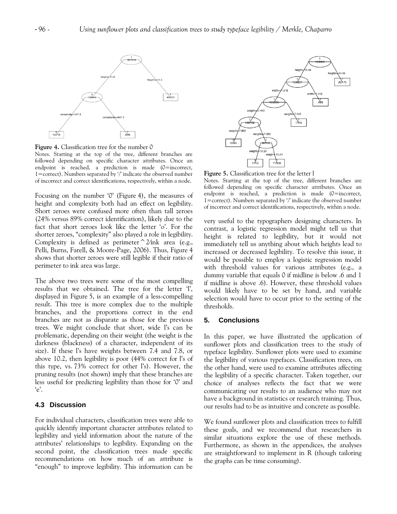

**Figure 4.** Classification tree for the number 0

Notes. Starting at the top of the tree, different branches are followed depending on specific character attributes. Once an endpoint is reached, a prediction is made (0=incorrect, 1=correct). Numbers separated by '/' indicate the observed number of incorrect and correct identifications, respectively, within a node.

Focusing on the number "0" (Figure 4), the measures of height and complexity both had an effect on legibility. Short zeroes were confused more often than tall zeroes (24% versus 89% correct identification), likely due to the fact that short zeroes look like the letter 'o'. For the shorter zeroes, "complexity" also played a role in legibility. Complexity is defined as perimeter^2*∕*ink area (e.g., Pelli, Burns, Farell, & Moore-Page, 2006). Thus, Figure 4 shows that shorter zeroes were still legible if their ratio of perimeter to ink area was large.

The above two trees were some of the most compelling results that we obtained. The tree for the letter 'l', displayed in Figure 5, is an example of a less-compelling result. This tree is more complex due to the multiple branches, and the proportions correct in the end branches are not as disparate as those for the previous trees. We might conclude that short, wide l"s can be problematic, depending on their weight (the weight is the darkness (blackness) of a character, independent of its size). If these l"s have weights between 7.4 and 7.8, or above 10.2, then legibility is poor (44% correct for l's of this type, vs. 73% correct for other l"s). However, the pruning results (not shown) imply that these branches are less useful for predicting legibility than those for "0" and  $'e$ .

# **4.3 Discussion**

For individual characters, classification trees were able to quickly identify important character attributes related to legibility and yield information about the nature of the attributes" relationships to legibility. Expanding on the second point, the classification trees made specific recommendations on how much of an attribute is "enough" to improve legibility. This information can be



**Figure 5.** Classification tree for the letter l

Notes. Starting at the top of the tree, different branches are followed depending on specific character attributes. Once an endpoint is reached, a prediction is made (0=incorrect, 1=correct). Numbers separated by  $\gamma$  indicate the observed number of incorrect and correct identifications, respectively, within a node.

very useful to the typographers designing characters. In contrast, a logistic regression model might tell us that height is related to legibility, but it would not immediately tell us anything about which heights lead to increased or decreased legibility. To resolve this issue, it would be possible to employ a logistic regression model with threshold values for various attributes (e.g., a dummy variable that equals 0 if midline is below .6 and 1 if midline is above .6). However, these threshold values would likely have to be set by hand, and variable selection would have to occur prior to the setting of the thresholds.

# **5. Conclusions**

In this paper, we have illustrated the application of sunflower plots and classification trees to the study of typeface legibility. Sunflower plots were used to examine the legibility of various typefaces. Classification trees, on the other hand, were used to examine attributes affecting the legibility of a specific character. Taken together, our choice of analyses reflects the fact that we were communicating our results to an audience who may not have a background in statistics or research training. Thus, our results had to be as intuitive and concrete as possible.

We found sunflower plots and classification trees to fulfill these goals, and we recommend that researchers in similar situations explore the use of these methods. Furthermore, as shown in the appendices, the analyses are straightforward to implement in R (though tailoring the graphs can be time consuming).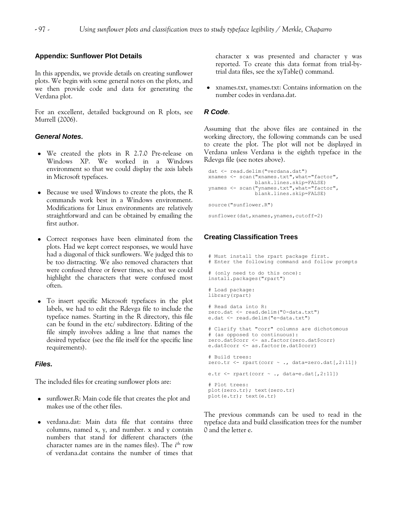#### **Appendix: Sunflower Plot Details**

In this appendix, we provide details on creating sunflower plots. We begin with some general notes on the plots, and we then provide code and data for generating the Verdana plot.

For an excellent, detailed background on R plots, see Murrell (2006).

# *General Notes***.**

- We created the plots in R 2.7.0 Pre-release on Windows XP. We worked in a Windows environment so that we could display the axis labels in Microsoft typefaces.
- Because we used Windows to create the plots, the R commands work best in a Windows environment. Modifications for Linux environments are relatively straightforward and can be obtained by emailing the first author.
- Correct responses have been eliminated from the plots. Had we kept correct responses, we would have had a diagonal of thick sunflowers. We judged this to be too distracting. We also removed characters that were confused three or fewer times, so that we could highlight the characters that were confused most often.
- To insert specific Microsoft typefaces in the plot labels, we had to edit the Rdevga file to include the typeface names. Starting in the R directory, this file can be found in the etc/ subdirectory. Editing of the file simply involves adding a line that names the desired typeface (see the file itself for the specific line requirements).

#### *Files.*

The included files for creating sunflower plots are:

- sunflower.R: Main code file that creates the plot and makes use of the other files.
- verdana.dat: Main data file that contains three columns, named x, y, and number. x and y contain numbers that stand for different characters (the character names are in the names files). The *i*<sup>th</sup> row of verdana.dat contains the number of times that

character x was presented and character y was reported. To create this data format from trial-bytrial data files, see the xyTable() command.

xnames.txt, ynames.txt: Contains information on the number codes in verdana.dat.

#### *R Code*.

Assuming that the above files are contained in the working directory, the following commands can be used to create the plot. The plot will not be displayed in Verdana unless Verdana is the eighth typeface in the Rdevga file (see notes above).

```
dat <- read.delim("verdana.dat") 
xnames <- scan("xnames.txt",what="factor", 
                blank.lines.skip=FALSE) 
ynames <- scan("ynames.txt",what="factor", 
                blank.lines.skip=FALSE) 
source("sunflower.R")
```
#### sunflower(dat, xnames, ynames, cutoff=2)

# **Creating Classification Trees**

```
# Must install the rpart package first. 
# Enter the following command and follow prompts 
# (only need to do this once): 
install.packages("rpart") 
# Load package: 
library(rpart) 
# Read data into R: 
zero.dat <- read.delim("0-data.txt") 
e.dat <- read.delim("e-data.txt") 
# Clarify that "corr" columns are dichotomous 
# (as opposed to continuous): 
zero.dat$corr <- as.factor(zero.dat$corr)
e.dat$corr <- as.factor(e.dat$corr) 
# Build trees: 
zero.tr <- rpart(corr ~ ., data=zero.dat[,2:11])
e.tr \leq rpart(corr \sim ., data=e.dat[,2:11])
# Plot trees: 
plot(zero.tr); text(zero.tr) 
plot(e.tr); text(e.tr)
```
The previous commands can be used to read in the typeface data and build classification trees for the number 0 and the letter e.